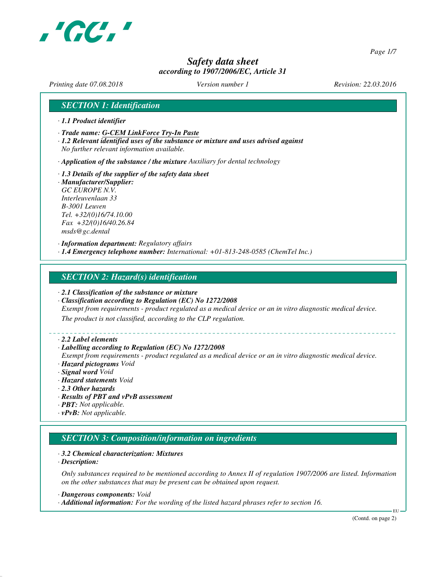

*Page 1/7*

# *Safety data sheet according to 1907/2006/EC, Article 31*

*Printing date 07.08.2018 Version number 1 Revision: 22.03.2016*

## *SECTION 1: Identification*

- *· 1.1 Product identifier*
- *· Trade name: G-CEM LinkForce Try-In Paste*
- *· 1.2 Relevant identified uses of the substance or mixture and uses advised against No further relevant information available.*

*· Application of the substance / the mixture Auxiliary for dental technology*

*· 1.3 Details of the supplier of the safety data sheet · Manufacturer/Supplier: GC EUROPE N.V. Interleuvenlaan 33 B-3001 Leuven Tel. +32/(0)16/74.10.00 Fax +32/(0)16/40.26.84 msds@gc.dental*

*· Information department: Regulatory affairs · 1.4 Emergency telephone number: International: +01-813-248-0585 (ChemTel Inc.)*

#### *SECTION 2: Hazard(s) identification*

- *· 2.1 Classification of the substance or mixture*
- *· Classification according to Regulation (EC) No 1272/2008*

*Exempt from requirements - product regulated as a medical device or an in vitro diagnostic medical device.*

*The product is not classified, according to the CLP regulation.*

#### *· 2.2 Label elements*

#### *· Labelling according to Regulation (EC) No 1272/2008*

*Exempt from requirements - product regulated as a medical device or an in vitro diagnostic medical device. · Hazard pictograms Void*

- *· Signal word Void*
- *· Hazard statements Void*
- *· 2.3 Other hazards*
- *· Results of PBT and vPvB assessment*
- *· PBT: Not applicable.*
- *· vPvB: Not applicable.*

# *SECTION 3: Composition/information on ingredients*

#### *· 3.2 Chemical characterization: Mixtures*

*· Description:*

*Only substances required to be mentioned according to Annex II of regulation 1907/2006 are listed. Information on the other substances that may be present can be obtained upon request.*

*· Dangerous components: Void*

*· Additional information: For the wording of the listed hazard phrases refer to section 16.*

(Contd. on page 2)

EU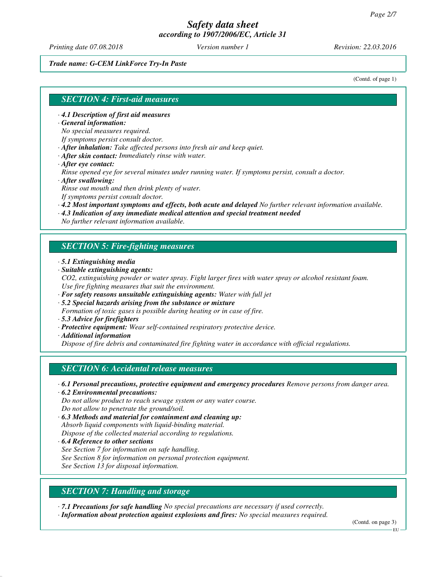*Printing date 07.08.2018 Version number 1 Revision: 22.03.2016*

#### *Trade name: G-CEM LinkForce Try-In Paste*

(Contd. of page 1)

#### *SECTION 4: First-aid measures*

- *· 4.1 Description of first aid measures*
- *· General information:*

*No special measures required.*

- *If symptoms persist consult doctor.*
- *· After inhalation: Take affected persons into fresh air and keep quiet.*
- *· After skin contact: Immediately rinse with water.*
- *· After eye contact:*

*Rinse opened eye for several minutes under running water. If symptoms persist, consult a doctor. · After swallowing:*

*Rinse out mouth and then drink plenty of water.*

*If symptoms persist consult doctor.*

- *· 4.2 Most important symptoms and effects, both acute and delayed No further relevant information available.*
- *· 4.3 Indication of any immediate medical attention and special treatment needed*

*No further relevant information available.*

## *SECTION 5: Fire-fighting measures*

- *· 5.1 Extinguishing media*
- *· Suitable extinguishing agents:*
- *CO2, extinguishing powder or water spray. Fight larger fires with water spray or alcohol resistant foam. Use fire fighting measures that suit the environment.*
- *· For safety reasons unsuitable extinguishing agents: Water with full jet*
- *· 5.2 Special hazards arising from the substance or mixture*
- *Formation of toxic gases is possible during heating or in case of fire.*
- *· 5.3 Advice for firefighters*
- *· Protective equipment: Wear self-contained respiratory protective device.*
- *· Additional information*

*Dispose of fire debris and contaminated fire fighting water in accordance with official regulations.*

## *SECTION 6: Accidental release measures*

- *· 6.1 Personal precautions, protective equipment and emergency procedures Remove persons from danger area. · 6.2 Environmental precautions:*
- *Do not allow product to reach sewage system or any water course. Do not allow to penetrate the ground/soil.*
- *· 6.3 Methods and material for containment and cleaning up: Absorb liquid components with liquid-binding material. Dispose of the collected material according to regulations.*
- *· 6.4 Reference to other sections See Section 7 for information on safe handling. See Section 8 for information on personal protection equipment. See Section 13 for disposal information.*
- *SECTION 7: Handling and storage*

*· 7.1 Precautions for safe handling No special precautions are necessary if used correctly.*

*· Information about protection against explosions and fires: No special measures required.*

(Contd. on page 3)

**EU**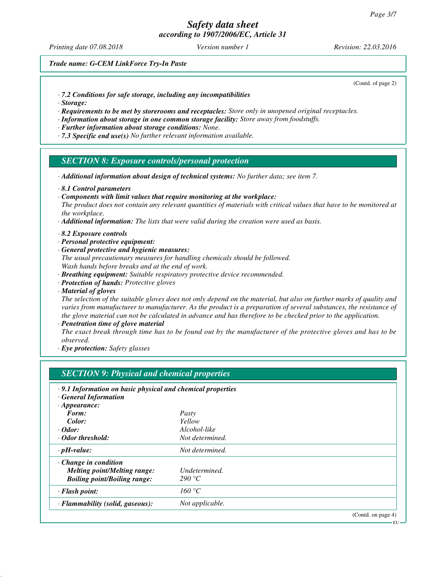*Printing date 07.08.2018 Version number 1 Revision: 22.03.2016*

*Trade name: G-CEM LinkForce Try-In Paste*

(Contd. of page 2)

- *· 7.2 Conditions for safe storage, including any incompatibilities*
- *· Storage:*
- *· Requirements to be met by storerooms and receptacles: Store only in unopened original receptacles.*
- *· Information about storage in one common storage facility: Store away from foodstuffs.*
- *· Further information about storage conditions: None.*
- *· 7.3 Specific end use(s) No further relevant information available.*

#### *SECTION 8: Exposure controls/personal protection*

- *· Additional information about design of technical systems: No further data; see item 7.*
- *· 8.1 Control parameters*
- *· Components with limit values that require monitoring at the workplace:*

*The product does not contain any relevant quantities of materials with critical values that have to be monitored at the workplace.*

- *· Additional information: The lists that were valid during the creation were used as basis.*
- *· 8.2 Exposure controls*
- *· Personal protective equipment:*
- *· General protective and hygienic measures:*
- *The usual precautionary measures for handling chemicals should be followed. Wash hands before breaks and at the end of work.*
- *· Breathing equipment: Suitable respiratory protective device recommended.*
- *· Protection of hands: Protective gloves*
- *· Material of gloves*

*The selection of the suitable gloves does not only depend on the material, but also on further marks of quality and varies from manufacturer to manufacturer. As the product is a preparation of several substances, the resistance of the glove material can not be calculated in advance and has therefore to be checked prior to the application.*

*· Penetration time of glove material*

*The exact break through time has to be found out by the manufacturer of the protective gloves and has to be observed.*

*· Eye protection: Safety glasses*

| .9.1 Information on basic physical and chemical properties<br>· General Information |                 |                       |
|-------------------------------------------------------------------------------------|-----------------|-----------------------|
| $\cdot$ Appearance:                                                                 |                 |                       |
| Form:                                                                               | Pasty           |                       |
| Color:                                                                              | Yellow          |                       |
| $\cdot$ Odor:                                                                       | Alcohol-like    |                       |
| · Odor threshold:                                                                   | Not determined. |                       |
| $\cdot$ pH-value:                                                                   | Not determined. |                       |
| $\cdot$ Change in condition                                                         |                 |                       |
| <b>Melting point/Melting range:</b>                                                 | Undetermined.   |                       |
| <b>Boiling point/Boiling range:</b>                                                 | 290 °C          |                       |
| $\cdot$ Flash point:                                                                | 160 °C          |                       |
| · Flammability (solid, gaseous):                                                    | Not applicable. |                       |
|                                                                                     |                 | (Contd. on page $4$ ) |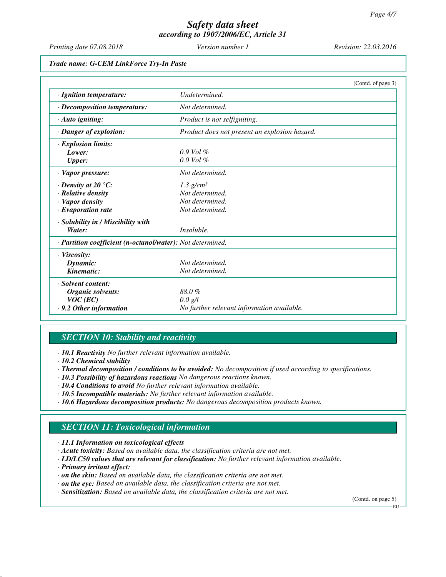*Printing date 07.08.2018 Version number 1 Revision: 22.03.2016*

*Trade name: G-CEM LinkForce Try-In Paste*

|                                                            | (Contd. of page 3)                            |
|------------------------------------------------------------|-----------------------------------------------|
| · Ignition temperature:                                    | Undetermined.                                 |
| $\cdot$ Decomposition temperature:                         | Not determined.                               |
| $\cdot$ Auto igniting:                                     | Product is not selfigniting.                  |
| · Danger of explosion:                                     | Product does not present an explosion hazard. |
| · Explosion limits:                                        |                                               |
| Lower:                                                     | $0.9$ Vol $%$                                 |
| <b>Upper:</b>                                              | $0.0$ Vol $%$                                 |
| · Vapor pressure:                                          | Not determined.                               |
| $\cdot$ Density at 20 $\degree$ C:                         | $1.3$ g/cm <sup>3</sup>                       |
| $\cdot$ Relative density                                   | Not determined.                               |
| · Vapor density                                            | Not determined.                               |
| $\cdot$ Evaporation rate                                   | Not determined.                               |
| · Solubility in / Miscibility with                         |                                               |
| Water:                                                     | Insoluble.                                    |
| · Partition coefficient (n-octanol/water): Not determined. |                                               |
| $\cdot$ Viscosity:                                         |                                               |
| Dynamic:                                                   | Not determined.                               |
| Kinematic:                                                 | Not determined.                               |
| · Solvent content:                                         |                                               |
| <b>Organic solvents:</b>                                   | 88.0%                                         |
| $VOC$ (EC)                                                 | 0.0 g/l                                       |
| $\cdot$ 9.2 Other information                              | No further relevant information available.    |

# *SECTION 10: Stability and reactivity*

*· 10.1 Reactivity No further relevant information available.*

- *· Thermal decomposition / conditions to be avoided: No decomposition if used according to specifications.*
- *· 10.3 Possibility of hazardous reactions No dangerous reactions known.*
- *· 10.4 Conditions to avoid No further relevant information available.*
- *· 10.5 Incompatible materials: No further relevant information available.*
- *· 10.6 Hazardous decomposition products: No dangerous decomposition products known.*

# *SECTION 11: Toxicological information*

*· 11.1 Information on toxicological effects*

- *· Acute toxicity: Based on available data, the classification criteria are not met.*
- *· LD/LC50 values that are relevant for classification: No further relevant information available.*
- *· Primary irritant effect:*
- *· on the skin: Based on available data, the classification criteria are not met.*
- *· on the eye: Based on available data, the classification criteria are not met.*
- *· Sensitization: Based on available data, the classification criteria are not met.*

(Contd. on page 5)

EU

*<sup>·</sup> 10.2 Chemical stability*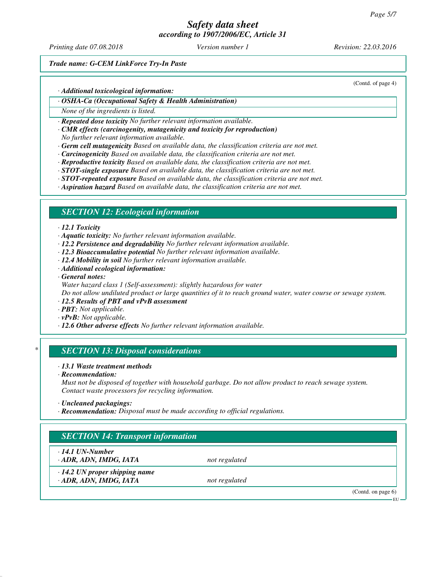*Printing date 07.08.2018 Version number 1 Revision: 22.03.2016*

(Contd. of page 4)

*Trade name: G-CEM LinkForce Try-In Paste*

*· Additional toxicological information:*

*· OSHA-Ca (Occupational Safety & Health Administration)*

*None of the ingredients is listed.*

*· Repeated dose toxicity No further relevant information available.*

*· CMR effects (carcinogenity, mutagenicity and toxicity for reproduction)*

*No further relevant information available.*

*· Germ cell mutagenicity Based on available data, the classification criteria are not met.*

- *· Carcinogenicity Based on available data, the classification criteria are not met.*
- *· Reproductive toxicity Based on available data, the classification criteria are not met.*
- *· STOT-single exposure Based on available data, the classification criteria are not met.*
- *· STOT-repeated exposure Based on available data, the classification criteria are not met.*
- *· Aspiration hazard Based on available data, the classification criteria are not met.*

## *SECTION 12: Ecological information*

#### *· 12.1 Toxicity*

*· Aquatic toxicity: No further relevant information available.*

- *· 12.2 Persistence and degradability No further relevant information available.*
- *· 12.3 Bioaccumulative potential No further relevant information available.*
- *· 12.4 Mobility in soil No further relevant information available.*
- *· Additional ecological information:*
- *· General notes:*
- *Water hazard class 1 (Self-assessment): slightly hazardous for water*

*Do not allow undiluted product or large quantities of it to reach ground water, water course or sewage system.*

- *· 12.5 Results of PBT and vPvB assessment*
- *· PBT: Not applicable.*
- *· vPvB: Not applicable.*
- *· 12.6 Other adverse effects No further relevant information available.*

## *\* SECTION 13: Disposal considerations*

#### *· 13.1 Waste treatment methods*

*· Recommendation:*

*Must not be disposed of together with household garbage. Do not allow product to reach sewage system. Contact waste processors for recycling information.*

*· Recommendation: Disposal must be made according to official regulations.*

# *SECTION 14: Transport information*

*· 14.1 UN-Number*

*· ADR, ADN, IMDG, IATA not regulated*

*· 14.2 UN proper shipping name · ADR, ADN, IMDG, IATA not regulated*

(Contd. on page 6)

EU

*<sup>·</sup> Uncleaned packagings:*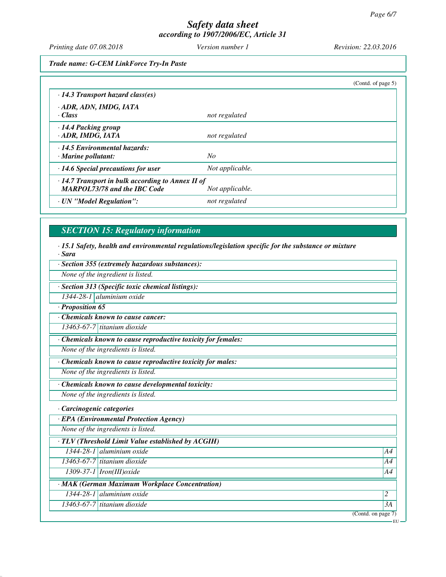*Printing date 07.08.2018 Version number 1 Revision: 22.03.2016*

*Trade name: G-CEM LinkForce Try-In Paste*

|                                                                                                |                 | (Cond. of page 5) |
|------------------------------------------------------------------------------------------------|-----------------|-------------------|
| $\cdot$ 14.3 Transport hazard class(es)                                                        |                 |                   |
| · ADR, ADN, IMDG, IATA<br>· Class                                                              | not regulated   |                   |
| $\cdot$ 14.4 Packing group<br>· ADR, IMDG, IATA                                                | not regulated   |                   |
| · 14.5 Environmental hazards:<br>$\cdot$ Marine pollutant:                                     | No              |                   |
| $\cdot$ 14.6 Special precautions for user                                                      | Not applicable. |                   |
| $\cdot$ 14.7 Transport in bulk according to Annex II of<br><b>MARPOL73/78 and the IBC Code</b> | Not applicable. |                   |
| · UN "Model Regulation":                                                                       | not regulated   |                   |

# *SECTION 15: Regulatory information*

*· 15.1 Safety, health and environmental regulations/legislation specific for the substance or mixture · Sara*

*· Section 355 (extremely hazardous substances):*

*None of the ingredient is listed.*

*· Section 313 (Specific toxic chemical listings):*

*1344-28-1 aluminium oxide*

*· Proposition 65*

*· Chemicals known to cause cancer:*

*13463-67-7 titanium dioxide*

*· Chemicals known to cause reproductive toxicity for females:*

*None of the ingredients is listed.*

*· Chemicals known to cause reproductive toxicity for males:*

*None of the ingredients is listed.*

*· Chemicals known to cause developmental toxicity:*

*None of the ingredients is listed.*

*· Carcinogenic categories*

*· EPA (Environmental Protection Agency)*

*None of the ingredients is listed.*

*· TLV (Threshold Limit Value established by ACGIH)*

*1344-28-1 aluminium oxide A4*

*13463-67-7 titanium dioxide A4 1309-37-1 Iron(III)oxide A4*

*· MAK (German Maximum Workplace Concentration)*

*1344-28-1 aluminium oxide 2* 

*13463-67-7 titanium dioxide 3A*

(Contd. on page 7)

EU